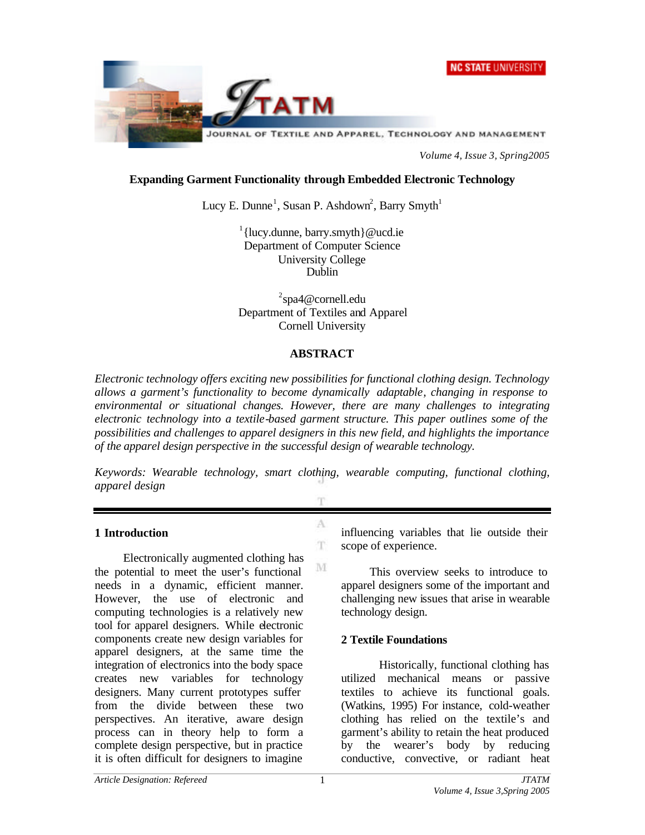



*Volume 4, Issue 3, Spring2005*

## **Expanding Garment Functionality through Embedded Electronic Technology**

Lucy E. Dunne<sup>1</sup>, Susan P. Ashdown<sup>2</sup>, Barry Smyth<sup>1</sup>

<sup>1</sup>{lucy.dunne, barry.smyth}@ucd.ie Department of Computer Science University College Dublin

<sup>2</sup>spa4@cornell.edu Department of Textiles and Apparel Cornell University

# **ABSTRACT**

*Electronic technology offers exciting new possibilities for functional clothing design. Technology allows a garment's functionality to become dynamically adaptable, changing in response to environmental or situational changes. However, there are many challenges to integrating electronic technology into a textile-based garment structure. This paper outlines some of the possibilities and challenges to apparel designers in this new field, and highlights the importance of the apparel design perspective in the successful design of wearable technology.* 

*Keywords: Wearable technology, smart clothing, wearable computing, functional clothing, apparel design*

A

 $\mathbf T$ 

M

#### **1 Introduction**

Electronically augmented clothing has the potential to meet the user's functional needs in a dynamic, efficient manner. However, the use of electronic and computing technologies is a relatively new tool for apparel designers. While electronic components create new design variables for apparel designers, at the same time the integration of electronics into the body space creates new variables for technology designers. Many current prototypes suffer from the divide between these two perspectives. An iterative, aware design process can in theory help to form a complete design perspective, but in practice it is often difficult for designers to imagine

influencing variables that lie outside their scope of experience.

This overview seeks to introduce to apparel designers some of the important and challenging new issues that arise in wearable technology design.

# **2 Textile Foundations**

Historically, functional clothing has utilized mechanical means or passive textiles to achieve its functional goals. (Watkins, 1995) For instance, cold-weather clothing has relied on the textile's and garment's ability to retain the heat produced by the wearer's body by reducing conductive, convective, or radiant heat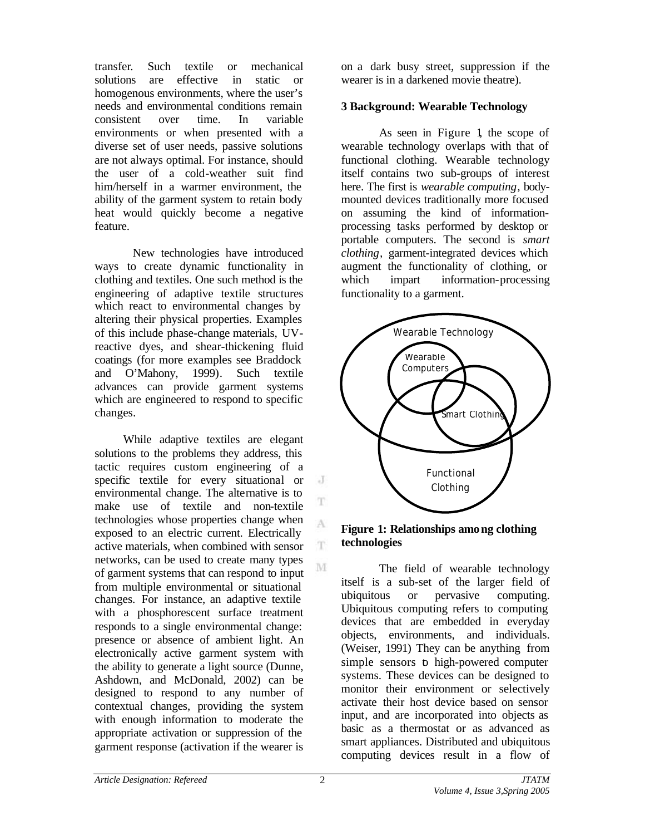transfer. Such textile or mechanical solutions are effective in static or homogenous environments, where the user's needs and environmental conditions remain consistent over time. In variable environments or when presented with a diverse set of user needs, passive solutions are not always optimal. For instance, should the user of a cold-weather suit find him/herself in a warmer environment, the ability of the garment system to retain body heat would quickly become a negative feature.

New technologies have introduced ways to create dynamic functionality in clothing and textiles. One such method is the engineering of adaptive textile structures which react to environmental changes by altering their physical properties. Examples of this include phase-change materials, UVreactive dyes, and shear-thickening fluid coatings (for more examples see Braddock and O'Mahony, 1999). Such textile advances can provide garment systems which are engineered to respond to specific changes.

While adaptive textiles are elegant solutions to the problems they address, this tactic requires custom engineering of a specific textile for every situational or environmental change. The alternative is to make use of textile and non-textile technologies whose properties change when exposed to an electric current. Electrically active materials, when combined with sensor networks, can be used to create many types of garment systems that can respond to input from multiple environmental or situational changes. For instance, an adaptive textile with a phosphorescent surface treatment responds to a single environmental change: presence or absence of ambient light. An electronically active garment system with the ability to generate a light source (Dunne, Ashdown, and McDonald, 2002) can be designed to respond to any number of contextual changes, providing the system with enough information to moderate the appropriate activation or suppression of the garment response (activation if the wearer is

on a dark busy street, suppression if the wearer is in a darkened movie theatre).

### **3 Background: Wearable Technology**

As seen in Figure 1, the scope of wearable technology overlaps with that of functional clothing. Wearable technology itself contains two sub-groups of interest here. The first is *wearable computing,* bodymounted devices traditionally more focused on assuming the kind of informationprocessing tasks performed by desktop or portable computers. The second is *smart clothing,* garment-integrated devices which augment the functionality of clothing, or which impart information-processing functionality to a garment.



#### **Figure 1: Relationships among clothing technologies**

The field of wearable technology itself is a sub-set of the larger field of ubiquitous or pervasive computing. Ubiquitous computing refers to computing devices that are embedded in everyday objects, environments, and individuals. (Weiser, 1991) They can be anything from simple sensors to high-powered computer systems. These devices can be designed to monitor their environment or selectively activate their host device based on sensor input, and are incorporated into objects as basic as a thermostat or as advanced as smart appliances. Distributed and ubiquitous computing devices result in a flow of

J

T

A

 $\mathbf{T}$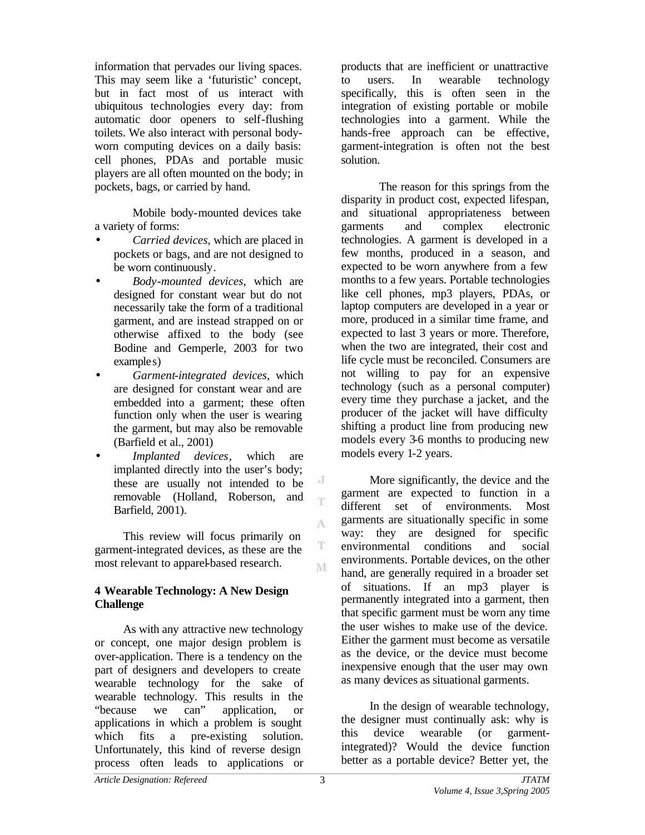information that pervades our living spaces. This may seem like a 'futuristic' concept, but in fact most of us interact with ubiquitous technologies every day: from automatic door openers to self-flushing toilets. We also interact with personal bodyworn computing devices on a daily basis: cell phones, PDAs and portable music players are all often mounted on the body; in pockets, bags, or carried by hand.

Mobile body-mounted devices take a variety of forms:

- *Carried devices*, which are placed in pockets or bags, and are not designed to be worn continuously.
- *Body-mounted devices*, which are designed for constant wear but do not necessarily take the form of a traditional garment, and are instead strapped on or otherwise affixed to the body (see Bodine and Gemperle, 2003 for two examples)
- *Garment-integrated devices*, which are designed for constant wear and are embedded into a garment; these often function only when the user is wearing the garment, but may also be removable (Barfield et al., 2001)
- *Implanted devices*, which are implanted directly into the user's body; these are usually not intended to be removable (Holland, Roberson, and Barfield, 2001).

This review will focus primarily on garment-integrated devices, as these are the most relevant to apparel-based research.

# **4 Wearable Technology: A New Design Challenge**

As with any attractive new technology or concept, one major design problem is over-application. There is a tendency on the part of designers and developers to create wearable technology for the sake of wearable technology. This results in the "because we can" application, or applications in which a problem is sought which fits a pre-existing solution. Unfortunately, this kind of reverse design process often leads to applications or

products that are inefficient or unattractive to users. In wearable technology specifically, this is often seen in the integration of existing portable or mobile technologies into a garment. While the hands-free approach can be effective, garment-integration is often not the best solution.

The reason for this springs from the disparity in product cost, expected lifespan, and situational appropriateness between garments and complex electronic technologies. A garment is developed in a few months, produced in a season, and expected to be worn anywhere from a few months to a few years. Portable technologies like cell phones, mp3 players, PDAs, or laptop computers are developed in a year or more, produced in a similar time frame, and expected to last 3 years or more. Therefore, when the two are integrated, their cost and life cycle must be reconciled. Consumers are not willing to pay for an expensive technology (such as a personal computer) every time they purchase a jacket, and the producer of the jacket will have difficulty shifting a product line from producing new models every 3-6 months to producing new models every 1-2 years.

More significantly, the device and the garment are expected to function in a different set of environments. Most garments are situationally specific in some way: they are designed for specific environmental conditions and social environments. Portable devices, on the other hand, are generally required in a broader set of situations. If an mp3 player is permanently integrated into a garment, then that specific garment must be worn any time the user wishes to make use of the device. Either the garment must become as versatile as the device, or the device must become inexpensive enough that the user may own as many devices as situational garments.

In the design of wearable technology, the designer must continually ask: why is this device wearable (or garmentintegrated)? Would the device function better as a portable device? Better yet, the

J T

A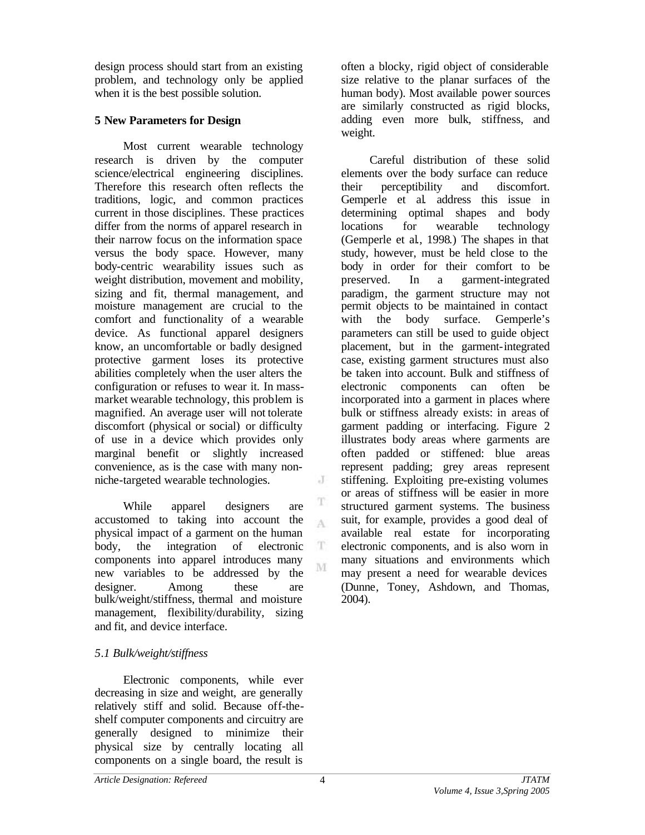design process should start from an existing problem, and technology only be applied when it is the best possible solution.

# **5 New Parameters for Design**

Most current wearable technology research is driven by the computer science/electrical engineering disciplines. Therefore this research often reflects the traditions, logic, and common practices current in those disciplines. These practices differ from the norms of apparel research in their narrow focus on the information space versus the body space. However, many body-centric wearability issues such as weight distribution, movement and mobility, sizing and fit, thermal management, and moisture management are crucial to the comfort and functionality of a wearable device. As functional apparel designers know, an uncomfortable or badly designed protective garment loses its protective abilities completely when the user alters the configuration or refuses to wear it. In massmarket wearable technology, this problem is magnified. An average user will not tolerate discomfort (physical or social) or difficulty of use in a device which provides only marginal benefit or slightly increased convenience, as is the case with many nonniche-targeted wearable technologies.

While apparel designers are accustomed to taking into account the  $\Lambda$ physical impact of a garment on the human body, the integration of electronic  $\mathbf T$ components into apparel introduces many new variables to be addressed by the designer. Among these are bulk/weight/stiffness, thermal and moisture management, flexibility/durability, sizing and fit, and device interface.

# *5.1 Bulk/weight/stiffness*

Electronic components, while ever decreasing in size and weight, are generally relatively stiff and solid. Because off-theshelf computer components and circuitry are generally designed to minimize their physical size by centrally locating all components on a single board, the result is

often a blocky, rigid object of considerable size relative to the planar surfaces of the human body). Most available power sources are similarly constructed as rigid blocks, adding even more bulk, stiffness, and weight.

Careful distribution of these solid elements over the body surface can reduce their perceptibility and discomfort. Gemperle et al. address this issue in determining optimal shapes and body locations for wearable technology (Gemperle et al., 1998.) The shapes in that study, however, must be held close to the body in order for their comfort to be preserved. In a garment-integrated paradigm, the garment structure may not permit objects to be maintained in contact with the body surface. Gemperle's parameters can still be used to guide object placement, but in the garment-integrated case, existing garment structures must also be taken into account. Bulk and stiffness of electronic components can often be incorporated into a garment in places where bulk or stiffness already exists: in areas of garment padding or interfacing. Figure 2 illustrates body areas where garments are often padded or stiffened: blue areas represent padding; grey areas represent stiffening. Exploiting pre-existing volumes or areas of stiffness will be easier in more structured garment systems. The business suit, for example, provides a good deal of available real estate for incorporating electronic components, and is also worn in many situations and environments which may present a need for wearable devices (Dunne, Toney, Ashdown, and Thomas, 2004).

J

T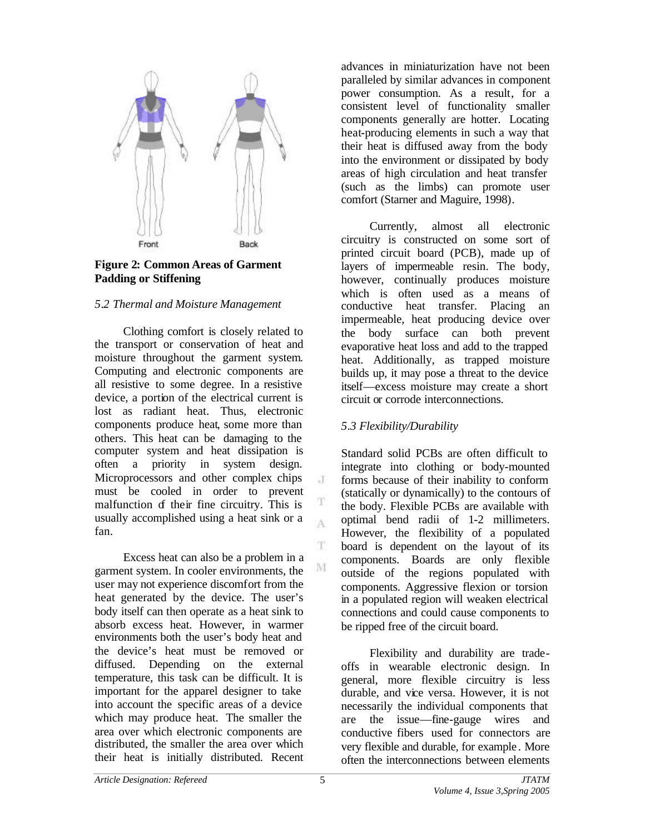

## **Figure 2: Common Areas of Garment Padding or Stiffening**

### *5.2 Thermal and Moisture Management*

Clothing comfort is closely related to the transport or conservation of heat and moisture throughout the garment system. Computing and electronic components are all resistive to some degree. In a resistive device, a portion of the electrical current is lost as radiant heat. Thus, electronic components produce heat, some more than others. This heat can be damaging to the computer system and heat dissipation is often a priority in system design. Microprocessors and other complex chips must be cooled in order to prevent malfunction of their fine circuitry. This is usually accomplished using a heat sink or a fan.

Excess heat can also be a problem in a garment system. In cooler environments, the user may not experience discomfort from the heat generated by the device. The user's body itself can then operate as a heat sink to absorb excess heat. However, in warmer environments both the user's body heat and the device's heat must be removed or diffused. Depending on the external temperature, this task can be difficult. It is important for the apparel designer to take into account the specific areas of a device which may produce heat. The smaller the area over which electronic components are distributed, the smaller the area over which their heat is initially distributed. Recent

advances in miniaturization have not been paralleled by similar advances in component power consumption. As a result, for a consistent level of functionality smaller components generally are hotter. Locating heat-producing elements in such a way that their heat is diffused away from the body into the environment or dissipated by body areas of high circulation and heat transfer (such as the limbs) can promote user comfort (Starner and Maguire, 1998).

Currently, almost all electronic circuitry is constructed on some sort of printed circuit board (PCB), made up of layers of impermeable resin. The body, however, continually produces moisture which is often used as a means of conductive heat transfer. Placing an impermeable, heat producing device over the body surface can both prevent evaporative heat loss and add to the trapped heat. Additionally, as trapped moisture builds up, it may pose a threat to the device itself—excess moisture may create a short circuit or corrode interconnections.

# *5.3 Flexibility/Durability*

Standard solid PCBs are often difficult to integrate into clothing or body-mounted forms because of their inability to conform (statically or dynamically) to the contours of the body. Flexible PCBs are available with optimal bend radii of 1-2 millimeters. However, the flexibility of a populated board is dependent on the layout of its components. Boards are only flexible outside of the regions populated with components. Aggressive flexion or torsion in a populated region will weaken electrical connections and could cause components to be ripped free of the circuit board.

Flexibility and durability are tradeoffs in wearable electronic design. In general, more flexible circuitry is less durable, and vice versa. However, it is not necessarily the individual components that are the issue—fine-gauge wires and conductive fibers used for connectors are very flexible and durable, for example . More often the interconnections between elements

 $\cdot$ T

T A

T.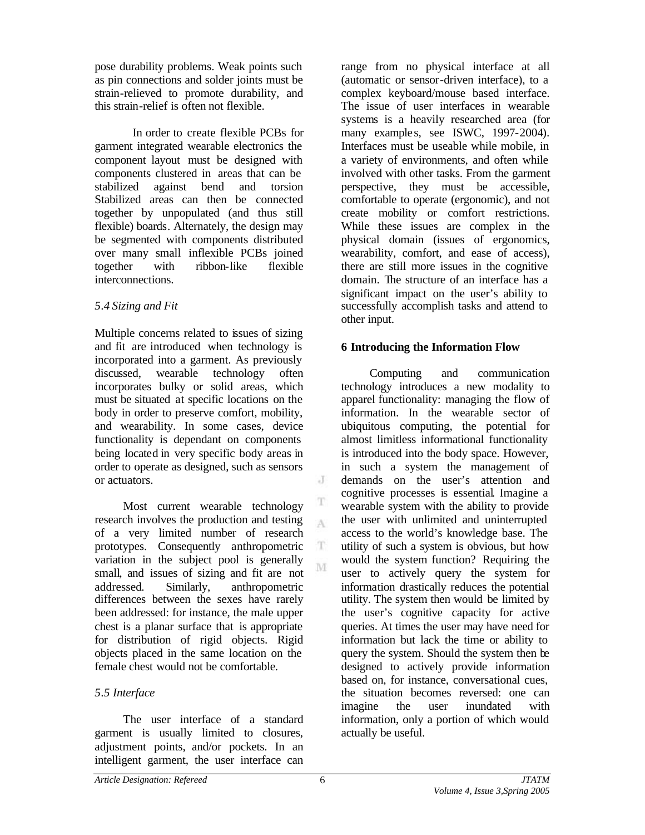pose durability problems. Weak points such as pin connections and solder joints must be strain-relieved to promote durability, and this strain-relief is often not flexible.

In order to create flexible PCBs for garment integrated wearable electronics the component layout must be designed with components clustered in areas that can be stabilized against bend and torsion Stabilized areas can then be connected together by unpopulated (and thus still flexible) boards. Alternately, the design may be segmented with components distributed over many small inflexible PCBs joined together with ribbon-like flexible interconnections.

# *5.4 Sizing and Fit*

Multiple concerns related to issues of sizing and fit are introduced when technology is incorporated into a garment. As previously discussed, wearable technology often incorporates bulky or solid areas, which must be situated at specific locations on the body in order to preserve comfort, mobility, and wearability. In some cases, device functionality is dependant on components being located in very specific body areas in order to operate as designed, such as sensors or actuators.

Most current wearable technology research involves the production and testing of a very limited number of research prototypes. Consequently anthropometric variation in the subject pool is generally small, and issues of sizing and fit are not addressed. Similarly, anthropometric differences between the sexes have rarely been addressed: for instance, the male upper chest is a planar surface that is appropriate for distribution of rigid objects. Rigid objects placed in the same location on the female chest would not be comfortable.

# *5.5 Interface*

The user interface of a standard garment is usually limited to closures, adjustment points, and/or pockets. In an intelligent garment, the user interface can

range from no physical interface at all (automatic or sensor-driven interface), to a complex keyboard/mouse based interface. The issue of user interfaces in wearable systems is a heavily researched area (for many examples, see ISWC, 1997-2004). Interfaces must be useable while mobile, in a variety of environments, and often while involved with other tasks. From the garment perspective, they must be accessible, comfortable to operate (ergonomic), and not create mobility or comfort restrictions. While these issues are complex in the physical domain (issues of ergonomics, wearability, comfort, and ease of access), there are still more issues in the cognitive domain. The structure of an interface has a significant impact on the user's ability to successfully accomplish tasks and attend to other input.

# **6 Introducing the Information Flow**

Computing and communication technology introduces a new modality to apparel functionality: managing the flow of information. In the wearable sector of ubiquitous computing, the potential for almost limitless informational functionality is introduced into the body space. However, in such a system the management of demands on the user's attention and cognitive processes is essential. Imagine a wearable system with the ability to provide the user with unlimited and uninterrupted access to the world's knowledge base. The utility of such a system is obvious, but how would the system function? Requiring the user to actively query the system for information drastically reduces the potential utility. The system then would be limited by the user's cognitive capacity for active queries. At times the user may have need for information but lack the time or ability to query the system. Should the system then be designed to actively provide information based on, for instance, conversational cues, the situation becomes reversed: one can imagine the user inundated with information, only a portion of which would actually be useful.

J

T A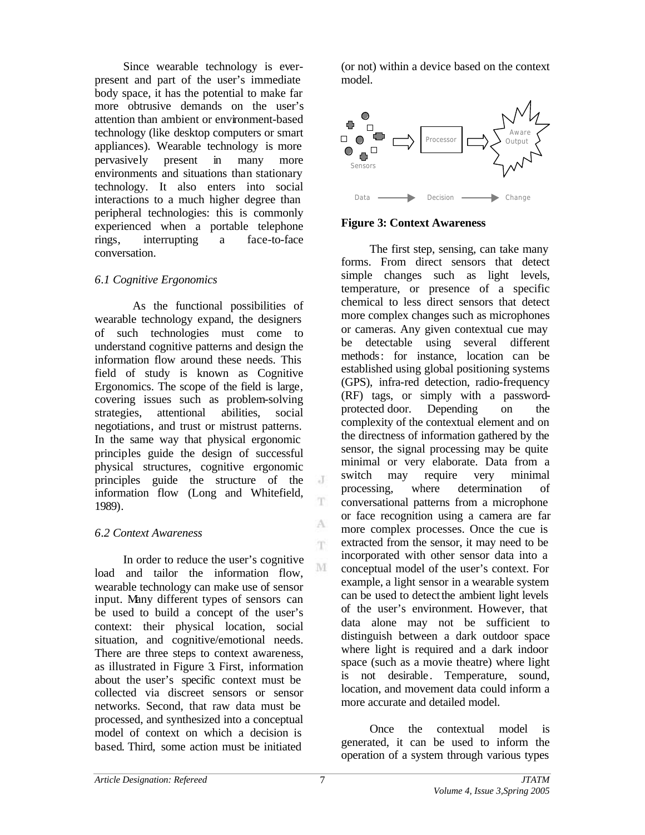Since wearable technology is everpresent and part of the user's immediate body space, it has the potential to make far more obtrusive demands on the user's attention than ambient or environment-based technology (like desktop computers or smart appliances). Wearable technology is more pervasively present in many more environments and situations than stationary technology. It also enters into social interactions to a much higher degree than peripheral technologies: this is commonly experienced when a portable telephone rings, interrupting a face-to-face conversation.

### *6.1 Cognitive Ergonomics*

As the functional possibilities of wearable technology expand, the designers of such technologies must come to understand cognitive patterns and design the information flow around these needs. This field of study is known as Cognitive Ergonomics. The scope of the field is large, covering issues such as problem-solving strategies, attentional abilities, social negotiations, and trust or mistrust patterns. In the same way that physical ergonomic principles guide the design of successful physical structures, cognitive ergonomic principles guide the structure of the information flow (Long and Whitefield, 1989).

# *6.2 Context Awareness*

In order to reduce the user's cognitive load and tailor the information flow, wearable technology can make use of sensor input. Many different types of sensors can be used to build a concept of the user's context: their physical location, social situation, and cognitive/emotional needs. There are three steps to context awareness, as illustrated in Figure 3. First, information about the user's specific context must be collected via discreet sensors or sensor networks. Second, that raw data must be processed, and synthesized into a conceptual model of context on which a decision is based. Third, some action must be initiated

(or not) within a device based on the context model.



# **Figure 3: Context Awareness**

The first step, sensing, can take many forms. From direct sensors that detect simple changes such as light levels, temperature, or presence of a specific chemical to less direct sensors that detect more complex changes such as microphones or cameras. Any given contextual cue may be detectable using several different methods: for instance, location can be established using global positioning systems (GPS), infra-red detection, radio-frequency (RF) tags, or simply with a passwordprotected door. Depending on the complexity of the contextual element and on the directness of information gathered by the sensor, the signal processing may be quite minimal or very elaborate. Data from a switch may require very minimal processing, where determination of conversational patterns from a microphone or face recognition using a camera are far more complex processes. Once the cue is extracted from the sensor, it may need to be incorporated with other sensor data into a conceptual model of the user's context. For example, a light sensor in a wearable system can be used to detect the ambient light levels of the user's environment. However, that data alone may not be sufficient to distinguish between a dark outdoor space where light is required and a dark indoor space (such as a movie theatre) where light is not desirable. Temperature, sound, location, and movement data could inform a more accurate and detailed model.

Once the contextual model is generated, it can be used to inform the operation of a system through various types

 $\cdot$ T

T.

A 'n.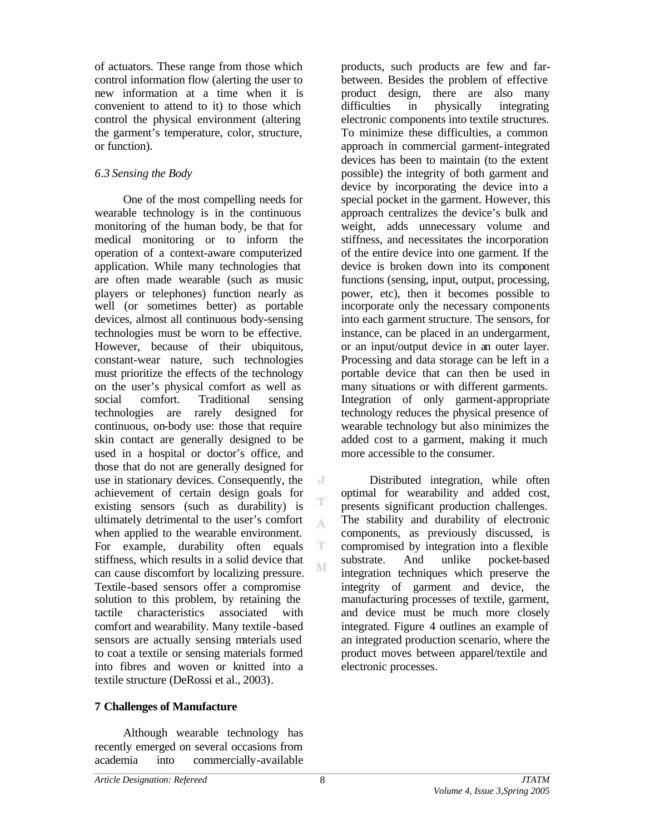of actuators. These range from those which control information flow (alerting the user to new information at a time when it is convenient to attend to it) to those which control the physical environment (altering the garment's temperature, color, structure, or function).

# *6.3 Sensing the Body*

One of the most compelling needs for wearable technology is in the continuous monitoring of the human body, be that for medical monitoring or to inform the operation of a context-aware computerized application. While many technologies that are often made wearable (such as music players or telephones) function nearly as well (or sometimes better) as portable devices, almost all continuous body-sensing technologies must be worn to be effective. However, because of their ubiquitous, constant-wear nature, such technologies must prioritize the effects of the technology on the user's physical comfort as well as social comfort. Traditional sensing technologies are rarely designed for continuous, on-body use: those that require skin contact are generally designed to be used in a hospital or doctor's office, and those that do not are generally designed for use in stationary devices. Consequently, the achievement of certain design goals for existing sensors (such as durability) is ultimately detrimental to the user's comfort when applied to the wearable environment. For example, durability often equals stiffness, which results in a solid device that can cause discomfort by localizing pressure. Textile-based sensors offer a compromise solution to this problem, by retaining the tactile characteristics associated with comfort and wearability. Many textile -based sensors are actually sensing materials used to coat a textile or sensing materials formed into fibres and woven or knitted into a textile structure (DeRossi et al., 2003).

**7 Challenges of Manufacture**

Although wearable technology has recently emerged on several occasions from academia into commercially-available

products, such products are few and farbetween. Besides the problem of effective product design, there are also many difficulties in physically integrating electronic components into textile structures. To minimize these difficulties, a common approach in commercial garment-integrated devices has been to maintain (to the extent possible) the integrity of both garment and device by incorporating the device into a special pocket in the garment. However, this approach centralizes the device's bulk and weight, adds unnecessary volume and stiffness, and necessitates the incorporation of the entire device into one garment. If the device is broken down into its component functions (sensing, input, output, processing, power, etc), then it becomes possible to incorporate only the necessary components into each garment structure. The sensors, for instance, can be placed in an undergarment, or an input/output device in an outer layer. Processing and data storage can be left in a portable device that can then be used in many situations or with different garments. Integration of only garment-appropriate technology reduces the physical presence of wearable technology but also minimizes the added cost to a garment, making it much more accessible to the consumer.

Distributed integration, while often optimal for wearability and added cost, presents significant production challenges. The stability and durability of electronic components, as previously discussed, is compromised by integration into a flexible substrate. And unlike pocket-based integration techniques which preserve the integrity of garment and device, the manufacturing processes of textile, garment, and device must be much more closely integrated. Figure 4 outlines an example of an integrated production scenario, where the product moves between apparel/textile and electronic processes.

J

A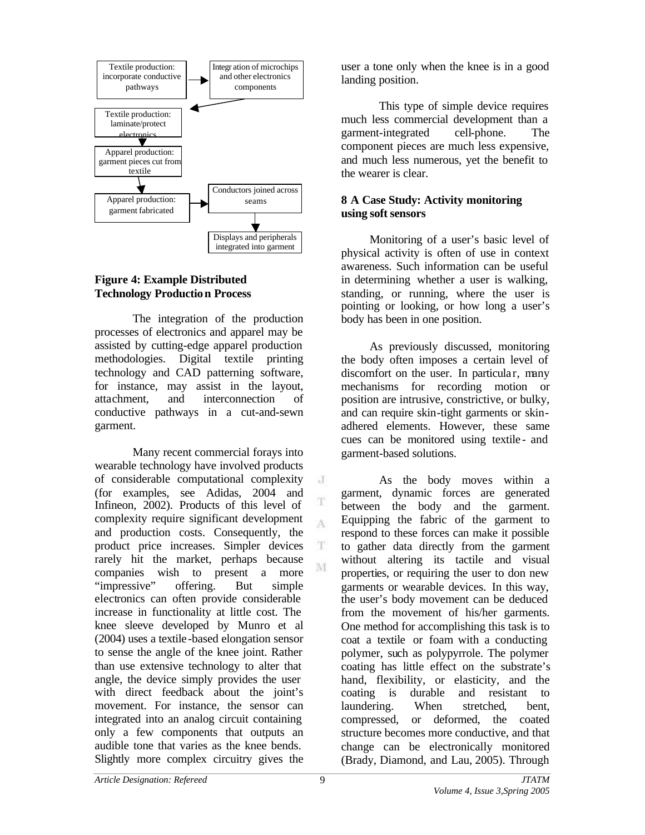

# **Figure 4: Example Distributed Technology Production Process**

The integration of the production processes of electronics and apparel may be assisted by cutting-edge apparel production methodologies. Digital textile printing technology and CAD patterning software, for instance, may assist in the layout, attachment, and interconnection of conductive pathways in a cut-and-sewn garment.

Many recent commercial forays into wearable technology have involved products of considerable computational complexity (for examples, see Adidas, 2004 and Infineon, 2002). Products of this level of complexity require significant development and production costs. Consequently, the product price increases. Simpler devices rarely hit the market, perhaps because companies wish to present a more "impressive" offering. But simple electronics can often provide considerable increase in functionality at little cost. The knee sleeve developed by Munro et al (2004) uses a textile-based elongation sensor to sense the angle of the knee joint. Rather than use extensive technology to alter that angle, the device simply provides the user with direct feedback about the joint's movement. For instance, the sensor can integrated into an analog circuit containing only a few components that outputs an audible tone that varies as the knee bends. Slightly more complex circuitry gives the

user a tone only when the knee is in a good landing position.

This type of simple device requires much less commercial development than a garment-integrated cell-phone. The component pieces are much less expensive, and much less numerous, yet the benefit to the wearer is clear.

## **8 A Case Study: Activity monitoring using soft sensors**

Monitoring of a user's basic level of physical activity is often of use in context awareness. Such information can be useful in determining whether a user is walking, standing, or running, where the user is pointing or looking, or how long a user's body has been in one position.

As previously discussed, monitoring the body often imposes a certain level of discomfort on the user. In particular, many mechanisms for recording motion or position are intrusive, constrictive, or bulky, and can require skin-tight garments or skinadhered elements. However, these same cues can be monitored using textile - and garment-based solutions.

As the body moves within a garment, dynamic forces are generated between the body and the garment. Equipping the fabric of the garment to respond to these forces can make it possible to gather data directly from the garment without altering its tactile and visual properties, or requiring the user to don new garments or wearable devices. In this way, the user's body movement can be deduced from the movement of his/her garments. One method for accomplishing this task is to coat a textile or foam with a conducting polymer, such as polypyrrole. The polymer coating has little effect on the substrate's hand, flexibility, or elasticity, and the coating is durable and resistant to laundering. When stretched, bent, compressed, or deformed, the coated structure becomes more conductive, and that change can be electronically monitored (Brady, Diamond, and Lau, 2005). Through

J

A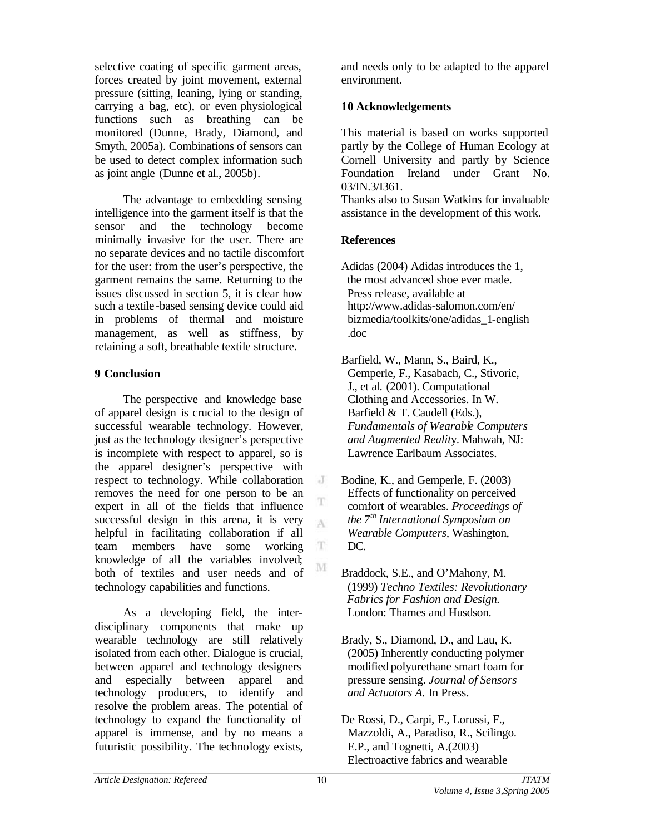selective coating of specific garment areas, forces created by joint movement, external pressure (sitting, leaning, lying or standing, carrying a bag, etc), or even physiological functions such as breathing can be monitored (Dunne, Brady, Diamond, and Smyth, 2005a). Combinations of sensors can be used to detect complex information such as joint angle (Dunne et al., 2005b).

The advantage to embedding sensing intelligence into the garment itself is that the sensor and the technology become minimally invasive for the user. There are no separate devices and no tactile discomfort for the user: from the user's perspective, the garment remains the same. Returning to the issues discussed in section 5, it is clear how such a textile-based sensing device could aid in problems of thermal and moisture management, as well as stiffness, by retaining a soft, breathable textile structure.

# **9 Conclusion**

The perspective and knowledge base of apparel design is crucial to the design of successful wearable technology. However, just as the technology designer's perspective is incomplete with respect to apparel, so is the apparel designer's perspective with respect to technology. While collaboration removes the need for one person to be an expert in all of the fields that influence successful design in this arena, it is very helpful in facilitating collaboration if all team members have some working knowledge of all the variables involved; both of textiles and user needs and of technology capabilities and functions.

As a developing field, the interdisciplinary components that make up wearable technology are still relatively isolated from each other. Dialogue is crucial, between apparel and technology designers and especially between apparel and technology producers, to identify and resolve the problem areas. The potential of technology to expand the functionality of apparel is immense, and by no means a futuristic possibility. The technology exists,

and needs only to be adapted to the apparel environment.

# **10 Acknowledgements**

This material is based on works supported partly by the College of Human Ecology at Cornell University and partly by Science Foundation Ireland under Grant No. 03/IN.3/I361.

Thanks also to Susan Watkins for invaluable assistance in the development of this work.

### **References**

Adidas (2004) Adidas introduces the 1, the most advanced shoe ever made. Press release, available at http://www.adidas-salomon.com/en/ bizmedia/toolkits/one/adidas\_1-english .doc

Barfield, W., Mann, S., Baird, K., Gemperle, F., Kasabach, C., Stivoric, J., et al. (2001). Computational Clothing and Accessories. In W. Barfield & T. Caudell (Eds.), *Fundamentals of Wearable Computers and Augmented Realit*y. Mahwah, NJ: Lawrence Earlbaum Associates.

- Bodine, K., and Gemperle, F. (2003) Effects of functionality on perceived comfort of wearables. *Proceedings of the 7th International Symposium on Wearable Computers,* Washington, DC.
- Braddock, S.E., and O'Mahony, M. (1999) *Techno Textiles: Revolutionary Fabrics for Fashion and Design.* London: Thames and Husdson.
- Brady, S., Diamond, D., and Lau, K. (2005) Inherently conducting polymer modified polyurethane smart foam for pressure sensing. *Journal of Sensors and Actuators A.* In Press.
- De Rossi, D., Carpi, F., Lorussi, F., Mazzoldi, A., Paradiso, R., Scilingo. E.P., and Tognetti, A.(2003) Electroactive fabrics and wearable

J

T A

 $\mathbf T$